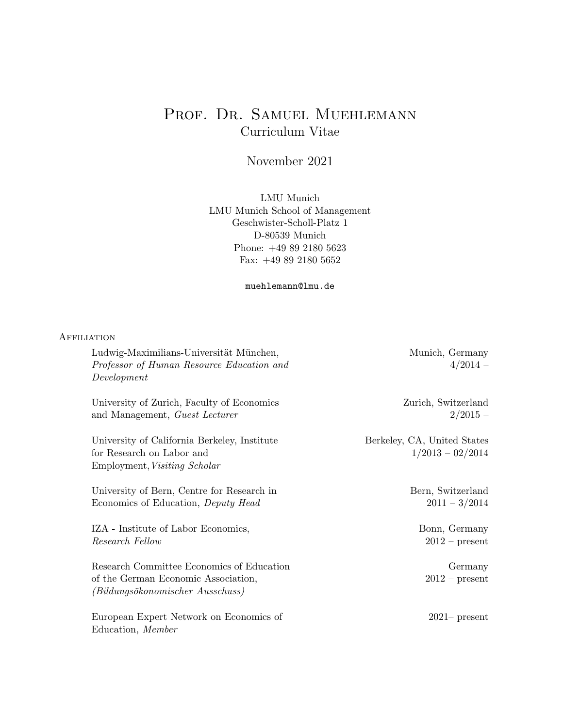# PROF. DR. SAMUEL MUEHLEMANN Curriculum Vitae

November 2021

LMU Munich LMU Munich School of Management Geschwister-Scholl-Platz 1 D-80539 Munich Phone: +49 89 2180 5623 Fax: +49 89 2180 5652

muehlemann@lmu.de

## **AFFILIATION**

| Ludwig-Maximilians-Universität München,<br>Professor of Human Resource Education and<br>Development                  | Munich, Germany<br>$4/2014 -$                     |
|----------------------------------------------------------------------------------------------------------------------|---------------------------------------------------|
| University of Zurich, Faculty of Economics<br>and Management, <i>Guest Lecturer</i>                                  | Zurich, Switzerland<br>$2/2015 -$                 |
| University of California Berkeley, Institute<br>for Research on Labor and<br>Employment, Visiting Scholar            | Berkeley, CA, United States<br>$1/2013 - 02/2014$ |
| University of Bern, Centre for Research in<br>Economics of Education, <i>Deputy Head</i>                             | Bern, Switzerland<br>$2011 - 3/2014$              |
| IZA - Institute of Labor Economics,<br>Research Fellow                                                               | Bonn, Germany<br>$2012$ – present                 |
| Research Committee Economics of Education<br>of the German Economic Association,<br>(Bildungsökonomischer Ausschuss) | Germany<br>$2012$ – present                       |
| European Expert Network on Economics of<br>Education, Member                                                         | $2021$ present                                    |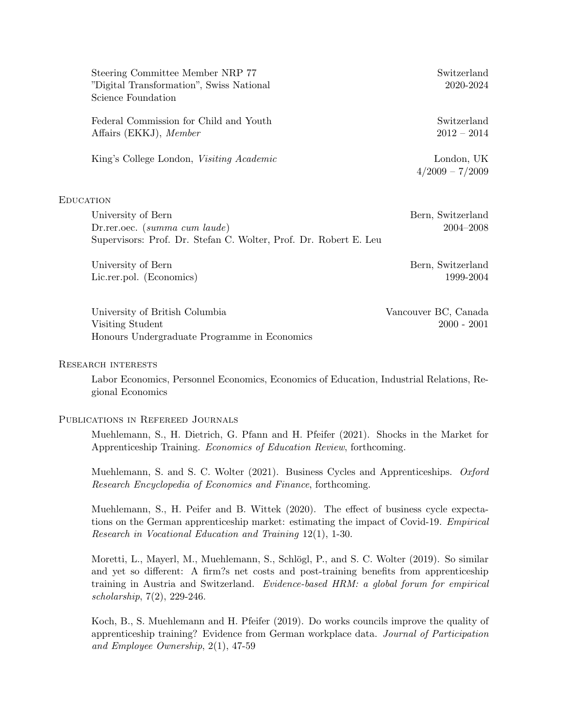| Steering Committee Member NRP 77<br>"Digital Transformation", Swiss National | Switzerland<br>2020-2024        |
|------------------------------------------------------------------------------|---------------------------------|
| Science Foundation                                                           |                                 |
| Federal Commission for Child and Youth                                       | Switzerland                     |
| Affairs (EKKJ), Member                                                       | $2012 - 2014$                   |
| King's College London, Visiting Academic                                     | London, UK<br>$4/2009 - 7/2009$ |
| EDUCATION                                                                    |                                 |
| University of Bern                                                           | Bern, Switzerland               |
| Dr.rer.oec. $(summa\ cum\ laude)$                                            | 2004-2008                       |
| Supervisors: Prof. Dr. Stefan C. Wolter, Prof. Dr. Robert E. Leu             |                                 |
| University of Bern                                                           | Bern, Switzerland               |
| Lic.rer.pol. (Economics)                                                     | 1999-2004                       |

University of British Columbia Vancouver BC, Canada Visiting Student 2000 - 2001 Honours Undergraduate Programme in Economics

#### Research interests

Labor Economics, Personnel Economics, Economics of Education, Industrial Relations, Regional Economics

#### Publications in Refereed Journals

Muehlemann, S., H. Dietrich, G. Pfann and H. Pfeifer (2021). Shocks in the Market for Apprenticeship Training. Economics of Education Review, forthcoming.

Muehlemann, S. and S. C. Wolter (2021). Business Cycles and Apprenticeships. *Oxford* Research Encyclopedia of Economics and Finance, forthcoming.

Muehlemann, S., H. Peifer and B. Wittek (2020). The effect of business cycle expectations on the German apprenticeship market: estimating the impact of Covid-19. Empirical Research in Vocational Education and Training 12(1), 1-30.

Moretti, L., Mayerl, M., Muehlemann, S., Schlögl, P., and S. C. Wolter (2019). So similar and yet so different: A firm?s net costs and post-training benefits from apprenticeship training in Austria and Switzerland. Evidence-based HRM: a global forum for empirical scholarship, 7(2), 229-246.

Koch, B., S. Muehlemann and H. Pfeifer (2019). Do works councils improve the quality of apprenticeship training? Evidence from German workplace data. Journal of Participation and Employee Ownership, 2(1), 47-59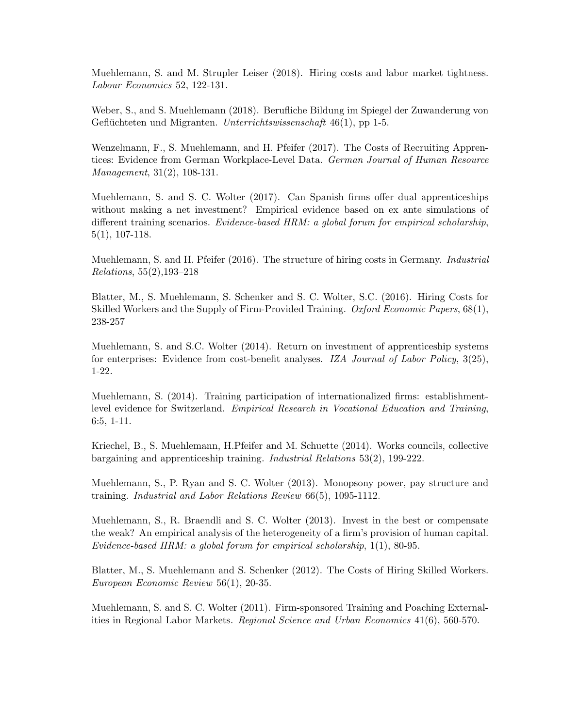Muehlemann, S. and M. Strupler Leiser (2018). Hiring costs and labor market tightness. Labour Economics 52, 122-131.

Weber, S., and S. Muehlemann (2018). Berufliche Bildung im Spiegel der Zuwanderung von Geflüchteten und Migranten. Unterrichtswissenschaft  $46(1)$ , pp 1-5.

Wenzelmann, F., S. Muehlemann, and H. Pfeifer (2017). The Costs of Recruiting Apprentices: Evidence from German Workplace-Level Data. German Journal of Human Resource Management, 31(2), 108-131.

Muehlemann, S. and S. C. Wolter (2017). Can Spanish firms offer dual apprenticeships without making a net investment? Empirical evidence based on ex ante simulations of different training scenarios. Evidence-based HRM: a global forum for empirical scholarship, 5(1), 107-118.

Muehlemann, S. and H. Pfeifer (2016). The structure of hiring costs in Germany. Industrial Relations, 55(2),193–218

Blatter, M., S. Muehlemann, S. Schenker and S. C. Wolter, S.C. (2016). Hiring Costs for Skilled Workers and the Supply of Firm-Provided Training. Oxford Economic Papers, 68(1), 238-257

Muehlemann, S. and S.C. Wolter (2014). Return on investment of apprenticeship systems for enterprises: Evidence from cost-benefit analyses. IZA Journal of Labor Policy, 3(25), 1-22.

Muehlemann, S. (2014). Training participation of internationalized firms: establishmentlevel evidence for Switzerland. Empirical Research in Vocational Education and Training, 6:5, 1-11.

Kriechel, B., S. Muehlemann, H.Pfeifer and M. Schuette (2014). Works councils, collective bargaining and apprenticeship training. Industrial Relations 53(2), 199-222.

Muehlemann, S., P. Ryan and S. C. Wolter (2013). Monopsony power, pay structure and training. Industrial and Labor Relations Review 66(5), 1095-1112.

Muehlemann, S., R. Braendli and S. C. Wolter (2013). Invest in the best or compensate the weak? An empirical analysis of the heterogeneity of a firm's provision of human capital. Evidence-based HRM: a global forum for empirical scholarship, 1(1), 80-95.

Blatter, M., S. Muehlemann and S. Schenker (2012). The Costs of Hiring Skilled Workers. European Economic Review 56(1), 20-35.

Muehlemann, S. and S. C. Wolter (2011). Firm-sponsored Training and Poaching Externalities in Regional Labor Markets. Regional Science and Urban Economics 41(6), 560-570.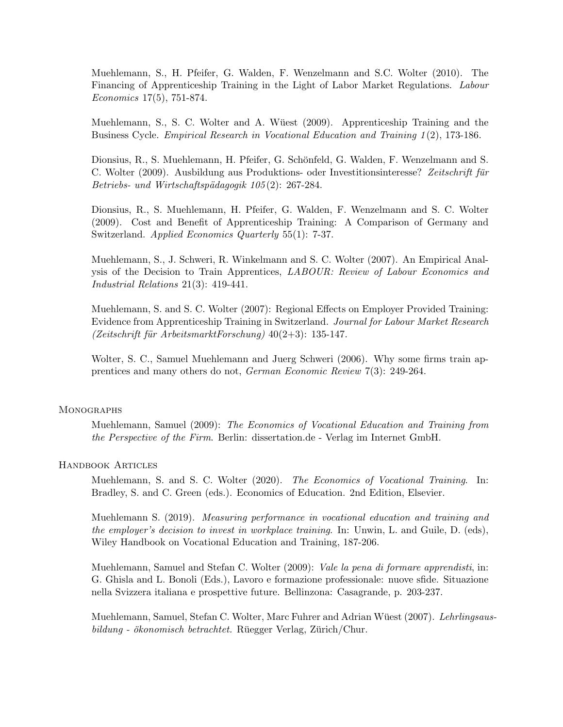Muehlemann, S., H. Pfeifer, G. Walden, F. Wenzelmann and S.C. Wolter (2010). The Financing of Apprenticeship Training in the Light of Labor Market Regulations. Labour Economics 17(5), 751-874.

Muehlemann, S., S. C. Wolter and A. Wüest (2009). Apprenticeship Training and the Business Cycle. Empirical Research in Vocational Education and Training 1 (2), 173-186.

Dionsius, R., S. Muehlemann, H. Pfeifer, G. Schönfeld, G. Walden, F. Wenzelmann and S. C. Wolter (2009). Ausbildung aus Produktions- oder Investitionsinteresse? Zeitschrift für Betriebs- und Wirtschaftspädagogik 105(2): 267-284.

Dionsius, R., S. Muehlemann, H. Pfeifer, G. Walden, F. Wenzelmann and S. C. Wolter (2009). Cost and Benefit of Apprenticeship Training: A Comparison of Germany and Switzerland. Applied Economics Quarterly 55(1): 7-37.

Muehlemann, S., J. Schweri, R. Winkelmann and S. C. Wolter (2007). An Empirical Analysis of the Decision to Train Apprentices, LABOUR: Review of Labour Economics and Industrial Relations 21(3): 419-441.

Muehlemann, S. and S. C. Wolter (2007): Regional Effects on Employer Provided Training: Evidence from Apprenticeship Training in Switzerland. Journal for Labour Market Research  $(Zeitschrift für Arbeitsmarkt Forschung)$  40(2+3): 135-147.

Wolter, S. C., Samuel Muehlemann and Juerg Schweri (2006). Why some firms train apprentices and many others do not, German Economic Review 7(3): 249-264.

## **MONOGRAPHS**

Muehlemann, Samuel (2009): The Economics of Vocational Education and Training from the Perspective of the Firm. Berlin: dissertation.de - Verlag im Internet GmbH.

#### Handbook Articles

Muehlemann, S. and S. C. Wolter (2020). The Economics of Vocational Training. In: Bradley, S. and C. Green (eds.). Economics of Education. 2nd Edition, Elsevier.

Muehlemann S. (2019). Measuring performance in vocational education and training and the employer's decision to invest in workplace training. In: Unwin, L. and Guile, D. (eds), Wiley Handbook on Vocational Education and Training, 187-206.

Muehlemann, Samuel and Stefan C. Wolter (2009): *Vale la pena di formare apprendisti*, in: G. Ghisla and L. Bonoli (Eds.), Lavoro e formazione professionale: nuove sfide. Situazione nella Svizzera italiana e prospettive future. Bellinzona: Casagrande, p. 203-237.

Muehlemann, Samuel, Stefan C. Wolter, Marc Fuhrer and Adrian Wüest (2007). Lehrlingsaus- $\delta$ bildung - ökonomisch betrachtet. Rüegger Verlag, Zürich/Chur.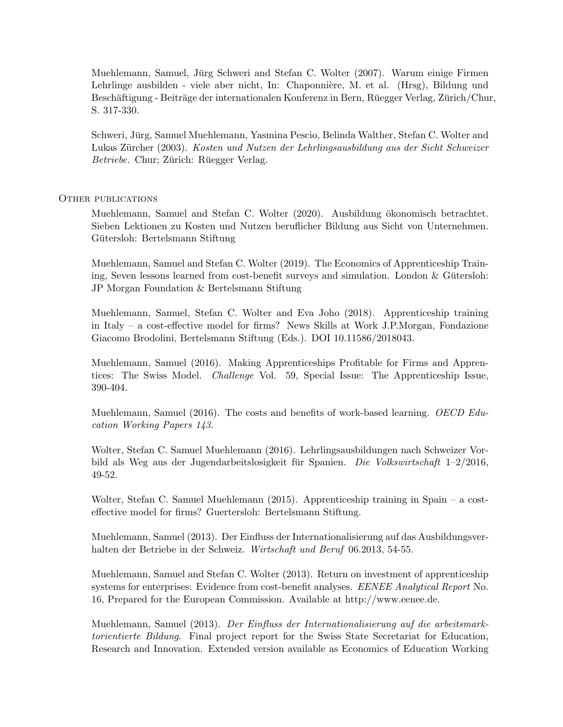Muehlemann, Samuel, Jürg Schweri and Stefan C. Wolter (2007). Warum einige Firmen Lehrlinge ausbilden - viele aber nicht, In: Chaponnière, M. et al. (Hrsg), Bildung und Beschäftigung - Beiträge der internationalen Konferenz in Bern, Rüegger Verlag, Zürich/Chur, S. 317-330.

Schweri, Jurg, Samuel Muehlemann, Yasmina Pescio, Belinda Walther, Stefan C. Wolter and ¨ Lukas Zürcher (2003). Kosten und Nutzen der Lehrlingsausbildung aus der Sicht Schweizer Betriebe. Chur; Zürich: Rüegger Verlag.

#### OTHER PUBLICATIONS

Muehlemann, Samuel and Stefan C. Wolter (2020). Ausbildung ökonomisch betrachtet. Sieben Lektionen zu Kosten und Nutzen beruflicher Bildung aus Sicht von Unternehmen. Gütersloh: Bertelsmann Stiftung

Muehlemann, Samuel and Stefan C. Wolter (2019). The Economics of Apprenticeship Training, Seven lessons learned from cost-benefit surveys and simulation. London  $&$  Gütersloh: JP Morgan Foundation & Bertelsmann Stiftung

Muehlemann, Samuel, Stefan C. Wolter and Eva Joho (2018). Apprenticeship training in Italy – a cost-effective model for firms? News Skills at Work J.P.Morgan, Fondazione Giacomo Brodolini, Bertelsmann Stiftung (Eds.). DOI 10.11586/2018043.

Muehlemann, Samuel (2016). Making Apprenticeships Profitable for Firms and Apprentices: The Swiss Model. Challenge Vol. 59, Special Issue: The Apprenticeship Issue, 390-404.

Muehlemann, Samuel (2016). The costs and benefits of work-based learning. OECD Education Working Papers 143.

Wolter, Stefan C. Samuel Muehlemann (2016). Lehrlingsausbildungen nach Schweizer Vorbild als Weg aus der Jugendarbeitslosigkeit für Spanien. Die Volkswirtschaft  $1-2/2016$ , 49-52.

Wolter, Stefan C. Samuel Muehlemann (2015). Apprenticeship training in Spain – a costeffective model for firms? Guertersloh: Bertelsmann Stiftung.

Muehlemann, Samuel (2013). Der Einfluss der Internationalisierung auf das Ausbildungsverhalten der Betriebe in der Schweiz. Wirtschaft und Beruf 06.2013, 54-55.

Muehlemann, Samuel and Stefan C. Wolter (2013). Return on investment of apprenticeship systems for enterprises: Evidence from cost-benefit analyses. EENEE Analytical Report No. 16, Prepared for the European Commission. Available at http://www.eenee.de.

Muehlemann, Samuel (2013). Der Einfluss der Internationalisierung auf die arbeitsmarktorientierte Bildung. Final project report for the Swiss State Secretariat for Education, Research and Innovation. Extended version available as Economics of Education Working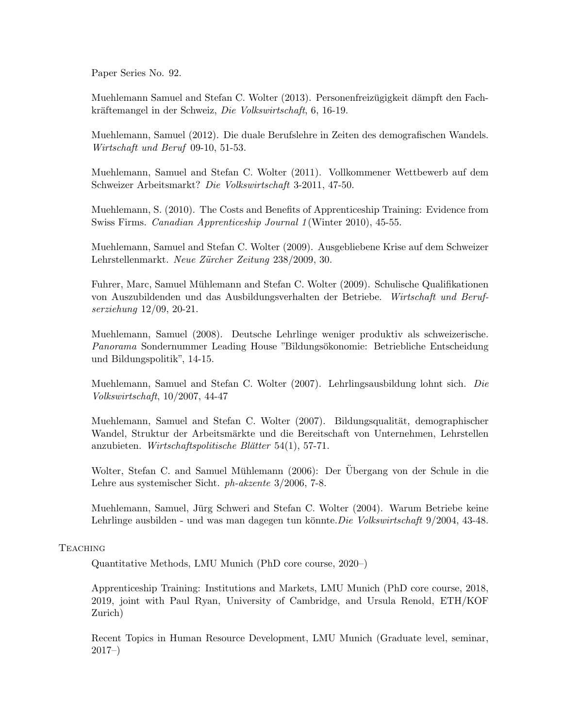Paper Series No. 92.

Muehlemann Samuel and Stefan C. Wolter (2013). Personenfreizugigkeit dämpft den Fachkräftemangel in der Schweiz, Die Volkswirtschaft, 6, 16-19.

Muehlemann, Samuel (2012). Die duale Berufslehre in Zeiten des demografischen Wandels. Wirtschaft und Beruf 09-10, 51-53.

Muehlemann, Samuel and Stefan C. Wolter (2011). Vollkommener Wettbewerb auf dem Schweizer Arbeitsmarkt? Die Volkswirtschaft 3-2011, 47-50.

Muehlemann, S. (2010). The Costs and Benefits of Apprenticeship Training: Evidence from Swiss Firms. Canadian Apprenticeship Journal 1 (Winter 2010), 45-55.

Muehlemann, Samuel and Stefan C. Wolter (2009). Ausgebliebene Krise auf dem Schweizer Lehrstellenmarkt. Neue Zürcher Zeitung 238/2009, 30.

Fuhrer, Marc, Samuel Muhlemann and Stefan C. Wolter (2009). Schulische Qualifikationen ¨ von Auszubildenden und das Ausbildungsverhalten der Betriebe. Wirtschaft und Berufserziehung 12/09, 20-21.

Muehlemann, Samuel (2008). Deutsche Lehrlinge weniger produktiv als schweizerische. Panorama Sondernummer Leading House "Bildungsökonomie: Betriebliche Entscheidung und Bildungspolitik", 14-15.

Muehlemann, Samuel and Stefan C. Wolter (2007). Lehrlingsausbildung lohnt sich. Die Volkswirtschaft, 10/2007, 44-47

Muehlemann, Samuel and Stefan C. Wolter (2007). Bildungsqualität, demographischer Wandel, Struktur der Arbeitsmärkte und die Bereitschaft von Unternehmen, Lehrstellen anzubieten. Wirtschaftspolitische Blätter 54(1), 57-71.

Wolter, Stefan C. and Samuel Mühlemann (2006): Der Übergang von der Schule in die Lehre aus systemischer Sicht. ph-akzente 3/2006, 7-8.

Muehlemann, Samuel, Jürg Schweri and Stefan C. Wolter (2004). Warum Betriebe keine Lehrlinge ausbilden - und was man dagegen tun könnte. Die Volkswirtschaft 9/2004, 43-48.

# **TEACHING**

Quantitative Methods, LMU Munich (PhD core course, 2020–)

Apprenticeship Training: Institutions and Markets, LMU Munich (PhD core course, 2018, 2019, joint with Paul Ryan, University of Cambridge, and Ursula Renold, ETH/KOF Zurich)

Recent Topics in Human Resource Development, LMU Munich (Graduate level, seminar, 2017–)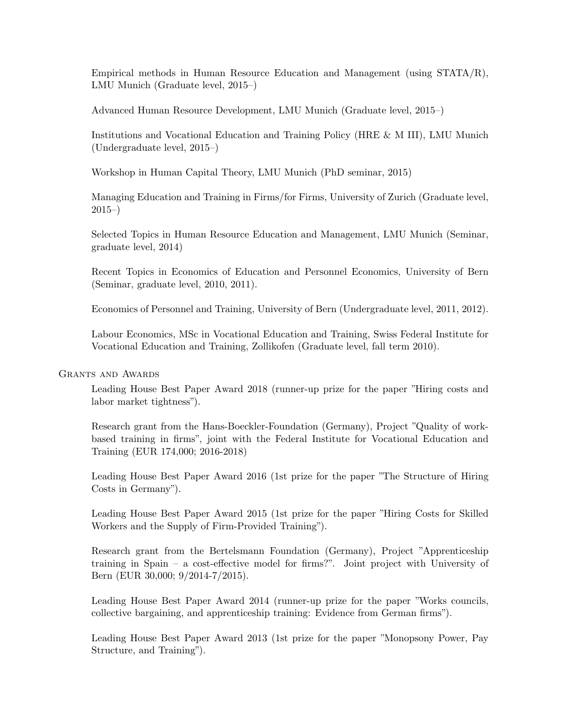Empirical methods in Human Resource Education and Management (using STATA/R), LMU Munich (Graduate level, 2015–)

Advanced Human Resource Development, LMU Munich (Graduate level, 2015–)

Institutions and Vocational Education and Training Policy (HRE & M III), LMU Munich (Undergraduate level, 2015–)

Workshop in Human Capital Theory, LMU Munich (PhD seminar, 2015)

Managing Education and Training in Firms/for Firms, University of Zurich (Graduate level, 2015–)

Selected Topics in Human Resource Education and Management, LMU Munich (Seminar, graduate level, 2014)

Recent Topics in Economics of Education and Personnel Economics, University of Bern (Seminar, graduate level, 2010, 2011).

Economics of Personnel and Training, University of Bern (Undergraduate level, 2011, 2012).

Labour Economics, MSc in Vocational Education and Training, Swiss Federal Institute for Vocational Education and Training, Zollikofen (Graduate level, fall term 2010).

## GRANTS AND AWARDS

Leading House Best Paper Award 2018 (runner-up prize for the paper "Hiring costs and labor market tightness").

Research grant from the Hans-Boeckler-Foundation (Germany), Project "Quality of workbased training in firms", joint with the Federal Institute for Vocational Education and Training (EUR 174,000; 2016-2018)

Leading House Best Paper Award 2016 (1st prize for the paper "The Structure of Hiring Costs in Germany").

Leading House Best Paper Award 2015 (1st prize for the paper "Hiring Costs for Skilled Workers and the Supply of Firm-Provided Training").

Research grant from the Bertelsmann Foundation (Germany), Project "Apprenticeship training in Spain – a cost-effective model for firms?". Joint project with University of Bern (EUR 30,000; 9/2014-7/2015).

Leading House Best Paper Award 2014 (runner-up prize for the paper "Works councils, collective bargaining, and apprenticeship training: Evidence from German firms").

Leading House Best Paper Award 2013 (1st prize for the paper "Monopsony Power, Pay Structure, and Training").